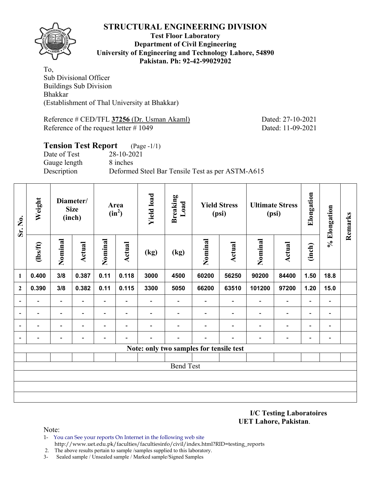

#### **Test Floor Laboratory Department of Civil Engineering University of Engineering and Technology Lahore, 54890 Pakistan. Ph: 92-42-99029202**

To, Sub Divisional Officer Buildings Sub Division Bhakkar (Establishment of Thal University at Bhakkar)

Reference # CED/TFL **37256** (Dr. Usman Akaml) Dated: 27-10-2021 Reference of the request letter # 1049 Dated: 11-09-2021

## **Tension Test Report** (Page -1/1) Date of Test 28-10-2021 Gauge length 8 inches Description Deformed Steel Bar Tensile Test as per ASTM-A615

| Sr. No.                  | Weight  | Diameter/<br><b>Size</b><br>(inch) |                          |                          | Area<br>$(in^2)$         | <b>Yield load</b>        | <b>Breaking</b><br>Load  |                                         | <b>Yield Stress</b><br>(psi) | <b>Ultimate Stress</b><br>(psi) |                          | Elongation               | % Elongation                 | Remarks |
|--------------------------|---------|------------------------------------|--------------------------|--------------------------|--------------------------|--------------------------|--------------------------|-----------------------------------------|------------------------------|---------------------------------|--------------------------|--------------------------|------------------------------|---------|
|                          | $lbsft$ | Nominal                            | <b>Actual</b>            | Nominal                  | <b>Actual</b>            | (kg)                     | (kg)                     | Nominal                                 | Actual                       | Nominal                         | <b>Actual</b>            | (inch)                   |                              |         |
| 1                        | 0.400   | 3/8                                | 0.387                    | 0.11                     | 0.118                    | 3000                     | 4500                     | 60200                                   | 56250                        | 90200                           | 84400                    | 1.50                     | 18.8                         |         |
| $\boldsymbol{2}$         | 0.390   | 3/8                                | 0.382                    | 0.11                     | 0.115                    | 3300                     | 5050                     | 66200                                   | 63510                        | 101200                          | 97200                    | 1.20                     | 15.0                         |         |
| $\blacksquare$           | Ξ.      | $\overline{\phantom{a}}$           | $\blacksquare$           | $\blacksquare$           | $\blacksquare$           | Ξ.                       | $\overline{\phantom{0}}$ | $\blacksquare$                          | $\overline{\phantom{a}}$     | $\overline{\phantom{a}}$        | $\overline{\phantom{a}}$ | $\overline{\phantom{a}}$ | $\overline{\phantom{a}}$     |         |
| $\overline{a}$           | -       | $\blacksquare$                     | $\overline{\phantom{0}}$ | $\overline{\phantom{0}}$ | $\overline{\phantom{a}}$ |                          | $\blacksquare$           |                                         | $\overline{\phantom{0}}$     | $\blacksquare$                  | $\overline{a}$           | $\qquad \qquad -$        | $\qquad \qquad \blacksquare$ |         |
| $\overline{\phantom{a}}$ | -       | $\overline{\phantom{0}}$           | ۰                        | $\overline{\phantom{0}}$ | $\overline{\phantom{a}}$ | $\overline{\phantom{0}}$ |                          |                                         |                              | $\overline{\phantom{0}}$        | $\overline{\phantom{0}}$ | $\overline{\phantom{a}}$ | $\blacksquare$               |         |
| $\overline{\phantom{a}}$ | -       | $\overline{a}$                     |                          |                          |                          |                          |                          |                                         |                              |                                 | $\overline{a}$           | $\overline{\phantom{0}}$ | $\qquad \qquad \blacksquare$ |         |
|                          |         |                                    |                          |                          |                          |                          |                          | Note: only two samples for tensile test |                              |                                 |                          |                          |                              |         |
|                          |         |                                    |                          |                          |                          |                          |                          |                                         |                              |                                 |                          |                          |                              |         |
|                          |         |                                    |                          |                          |                          |                          | <b>Bend Test</b>         |                                         |                              |                                 |                          |                          |                              |         |
|                          |         |                                    |                          |                          |                          |                          |                          |                                         |                              |                                 |                          |                          |                              |         |
|                          |         |                                    |                          |                          |                          |                          |                          |                                         |                              |                                 |                          |                          |                              |         |
|                          |         |                                    |                          |                          |                          |                          |                          |                                         |                              |                                 |                          |                          |                              |         |

**I/C Testing Laboratoires UET Lahore, Pakistan**.

- 1- You can See your reports On Internet in the following web site http://www.uet.edu.pk/faculties/facultiesinfo/civil/index.html?RID=testing\_reports
- 2. The above results pertain to sample /samples supplied to this laboratory.
- 3- Sealed sample / Unsealed sample / Marked sample/Signed Samples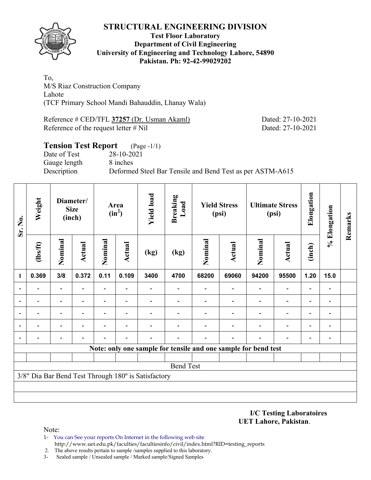

#### **Test Floor Laboratory Department of Civil Engineering University of Engineering and Technology Lahore, 54890 Pakistan. Ph: 92-42-99029202**

To, M/S Riaz Construction Company Lahote (TCF Primary School Mandi Bahauddin, Lhanay Wala)

Reference # CED/TFL **37257** (Dr. Usman Akaml) Dated: 27-10-2021 Reference of the request letter # Nil Dated: 27-10-2021

## **Tension Test Report** (Page -1/1) Date of Test 28-10-2021 Gauge length 8 inches Description Deformed Steel Bar Tensile and Bend Test as per ASTM-A615

| Sr. No.        | Weight         |                          | Diameter/<br><b>Size</b><br>(inch) |                          | Area<br>$(in^2)$ | <b>Yield load</b>                                   | <b>Breaking</b><br>Load |         | <b>Yield Stress</b><br>(psi) |                                                                | <b>Ultimate Stress</b><br>(psi) | Elongation               | % Elongation                 | Remarks |
|----------------|----------------|--------------------------|------------------------------------|--------------------------|------------------|-----------------------------------------------------|-------------------------|---------|------------------------------|----------------------------------------------------------------|---------------------------------|--------------------------|------------------------------|---------|
|                | $\frac{2}{10}$ | Nominal                  | Actual                             | Nominal                  | <b>Actual</b>    | (kg)                                                | (kg)                    | Nominal | <b>Actual</b>                | Nominal                                                        | <b>Actual</b>                   | (inch)                   |                              |         |
| 1              | 0.369          | 3/8                      | 0.372                              | 0.11                     | 0.109            | 3400                                                | 4700                    | 68200   | 69060                        | 94200                                                          | 95500                           | 1.20                     | 15.0                         |         |
| $\overline{a}$ |                | $\overline{\phantom{0}}$ |                                    |                          |                  |                                                     |                         |         |                              |                                                                | $\overline{\phantom{0}}$        | $\overline{a}$           |                              |         |
|                |                | $\overline{\phantom{0}}$ |                                    | $\overline{\phantom{0}}$ |                  |                                                     |                         |         |                              | $\blacksquare$                                                 | $\overline{\phantom{0}}$        | $\overline{\phantom{0}}$ |                              |         |
| $\blacksquare$ |                | $\blacksquare$           |                                    | $\blacksquare$           | $\blacksquare$   |                                                     |                         |         |                              |                                                                | $\blacksquare$                  | $\overline{\phantom{0}}$ |                              |         |
|                |                | $\blacksquare$           |                                    | $\blacksquare$           | $\blacksquare$   |                                                     |                         |         |                              |                                                                | $\overline{\phantom{0}}$        | $\overline{a}$           | $\qquad \qquad \blacksquare$ |         |
|                |                |                          |                                    |                          |                  |                                                     |                         |         |                              |                                                                |                                 | -                        |                              |         |
|                |                |                          |                                    |                          |                  |                                                     |                         |         |                              | Note: only one sample for tensile and one sample for bend test |                                 |                          |                              |         |
|                |                |                          |                                    |                          |                  |                                                     |                         |         |                              |                                                                |                                 |                          |                              |         |
|                |                |                          |                                    |                          |                  |                                                     | <b>Bend Test</b>        |         |                              |                                                                |                                 |                          |                              |         |
|                |                |                          |                                    |                          |                  | 3/8" Dia Bar Bend Test Through 180° is Satisfactory |                         |         |                              |                                                                |                                 |                          |                              |         |
|                |                |                          |                                    |                          |                  |                                                     |                         |         |                              |                                                                |                                 |                          |                              |         |
|                |                |                          |                                    |                          |                  |                                                     |                         |         |                              |                                                                |                                 |                          |                              |         |

**I/C Testing Laboratoires UET Lahore, Pakistan**.

Note:

1- You can See your reports On Internet in the following web site http://www.uet.edu.pk/faculties/facultiesinfo/civil/index.html?RID=testing\_reports

2. The above results pertain to sample /samples supplied to this laboratory.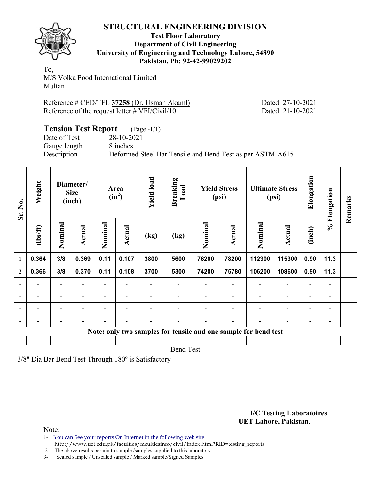

#### **Test Floor Laboratory Department of Civil Engineering University of Engineering and Technology Lahore, 54890 Pakistan. Ph: 92-42-99029202**

To, M/S Volka Food International Limited Multan

| Reference # CED/TFL 37258 (Dr. Usman Akaml)       |  |  |
|---------------------------------------------------|--|--|
| Reference of the request letter $\# VFI/Civil/10$ |  |  |

Dated: 27-10-2021 Dated: 21-10-2021

| <b>Tension Test Report</b> (Page -1/1) |                                                           |
|----------------------------------------|-----------------------------------------------------------|
| Date of Test                           | 28-10-2021                                                |
| Gauge length                           | 8 inches                                                  |
| Description                            | Deformed Steel Bar Tensile and Bend Test as per ASTM-A615 |

| Sr. No.                  | Weight                   |                          | Diameter/<br><b>Size</b><br>(inch) |         | Area<br>$(in^2)$         | <b>Yield load</b>                                   | <b>Breaking</b><br>Load |         | <b>Yield Stress</b><br>(psi) |                                                                 | <b>Ultimate Stress</b><br>(psi) | Elongation               | % Elongation             | Remarks |
|--------------------------|--------------------------|--------------------------|------------------------------------|---------|--------------------------|-----------------------------------------------------|-------------------------|---------|------------------------------|-----------------------------------------------------------------|---------------------------------|--------------------------|--------------------------|---------|
|                          | $\frac{2}{10}$           | Nominal                  | Actual                             | Nominal | <b>Actual</b>            | (kg)                                                | (kg)                    | Nominal | <b>Actual</b>                | Nominal                                                         | Actual                          | (inch)                   |                          |         |
| 1                        | 0.364                    | 3/8                      | 0.369                              | 0.11    | 0.107                    | 3800                                                | 5600                    | 76200   | 78200                        | 112300                                                          | 115300                          | 0.90                     | 11.3                     |         |
| $\mathbf{2}$             | 0.366                    | 3/8                      | 0.370                              | 0.11    | 0.108                    | 3700                                                | 5300                    | 74200   | 75780                        | 106200                                                          | 108600                          | 0.90                     | 11.3                     |         |
|                          |                          |                          |                                    |         |                          |                                                     |                         |         |                              |                                                                 |                                 |                          | $\blacksquare$           |         |
| $\overline{\phantom{0}}$ | $\overline{\phantom{a}}$ | $\overline{\phantom{0}}$ |                                    |         | $\overline{\phantom{a}}$ |                                                     |                         |         |                              |                                                                 | $\overline{\phantom{0}}$        | $\overline{\phantom{0}}$ | $\overline{\phantom{a}}$ |         |
| $\blacksquare$           | -                        | -                        |                                    | Ξ.      | $\overline{\phantom{a}}$ |                                                     |                         |         |                              |                                                                 | $\blacksquare$                  | $\blacksquare$           | $\overline{\phantom{a}}$ |         |
|                          | -                        | $\overline{\phantom{0}}$ |                                    |         | $\overline{\phantom{0}}$ |                                                     |                         |         |                              |                                                                 | $\overline{\phantom{0}}$        | $\blacksquare$           | $\overline{\phantom{0}}$ |         |
|                          |                          |                          |                                    |         |                          |                                                     |                         |         |                              | Note: only two samples for tensile and one sample for bend test |                                 |                          |                          |         |
|                          |                          |                          |                                    |         |                          |                                                     |                         |         |                              |                                                                 |                                 |                          |                          |         |
|                          |                          |                          |                                    |         |                          |                                                     | <b>Bend Test</b>        |         |                              |                                                                 |                                 |                          |                          |         |
|                          |                          |                          |                                    |         |                          | 3/8" Dia Bar Bend Test Through 180° is Satisfactory |                         |         |                              |                                                                 |                                 |                          |                          |         |
|                          |                          |                          |                                    |         |                          |                                                     |                         |         |                              |                                                                 |                                 |                          |                          |         |
|                          |                          |                          |                                    |         |                          |                                                     |                         |         |                              |                                                                 |                                 |                          |                          |         |

#### **I/C Testing Laboratoires UET Lahore, Pakistan**.

Note:

1- You can See your reports On Internet in the following web site http://www.uet.edu.pk/faculties/facultiesinfo/civil/index.html?RID=testing\_reports

2. The above results pertain to sample /samples supplied to this laboratory.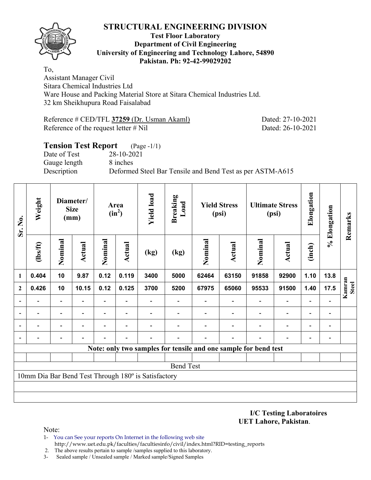

#### **Test Floor Laboratory Department of Civil Engineering University of Engineering and Technology Lahore, 54890 Pakistan. Ph: 92-42-99029202**

To, Assistant Manager Civil Sitara Chemical Industries Ltd Ware House and Packing Material Store at Sitara Chemical Industries Ltd. 32 km Sheikhupura Road Faisalabad

Reference # CED/TFL **37259** (Dr. Usman Akaml) Dated: 27-10-2021 Reference of the request letter # Nil Dated: 26-10-2021

## **Tension Test Report** (Page -1/1) Date of Test 28-10-2021 Gauge length 8 inches Description Deformed Steel Bar Tensile and Bend Test as per ASTM-A615

| Sr. No.        | Weight         |         | Diameter/<br><b>Size</b><br>(mm) |                          | Area<br>$(in^2)$         | <b>Yield load</b>                                   | <b>Breaking</b><br>Load |                                                                 | <b>Yield Stress</b><br>(psi) |         | <b>Ultimate Stress</b><br>(psi) | Elongation               | % Elongation                 | Remarks                |
|----------------|----------------|---------|----------------------------------|--------------------------|--------------------------|-----------------------------------------------------|-------------------------|-----------------------------------------------------------------|------------------------------|---------|---------------------------------|--------------------------|------------------------------|------------------------|
|                | $\frac{2}{10}$ | Nominal | <b>Actual</b>                    | Nominal                  | Actual                   | (kg)                                                | (kg)                    | Nominal                                                         | <b>Actual</b>                | Nominal | Actual                          | (inch)                   |                              |                        |
| 1              | 0.404          | 10      | 9.87                             | 0.12                     | 0.119                    | 3400                                                | 5000                    | 62464                                                           | 63150                        | 91858   | 92900                           | 1.10                     | 13.8                         |                        |
| $\overline{2}$ | 0.426          | 10      | 10.15                            | 0.12                     | 0.125                    | 3700                                                | 5200                    | 67975                                                           | 65060                        | 95533   | 91500                           | 1.40                     | 17.5                         | Kamran<br><b>Steel</b> |
|                |                |         |                                  | $\overline{\phantom{0}}$ |                          |                                                     |                         |                                                                 |                              |         | $\overline{\phantom{0}}$        |                          |                              |                        |
|                |                |         |                                  | -                        | $\overline{\phantom{a}}$ |                                                     |                         |                                                                 |                              |         | $\overline{a}$                  | $\overline{\phantom{0}}$ | $\qquad \qquad \blacksquare$ |                        |
|                |                |         |                                  |                          |                          |                                                     |                         |                                                                 |                              |         |                                 |                          |                              |                        |
|                |                |         |                                  |                          |                          |                                                     |                         |                                                                 |                              |         |                                 |                          | $\overline{a}$               |                        |
|                |                |         |                                  |                          |                          |                                                     |                         | Note: only two samples for tensile and one sample for bend test |                              |         |                                 |                          |                              |                        |
|                |                |         |                                  |                          |                          |                                                     |                         |                                                                 |                              |         |                                 |                          |                              |                        |
|                |                |         |                                  |                          |                          |                                                     | <b>Bend Test</b>        |                                                                 |                              |         |                                 |                          |                              |                        |
|                |                |         |                                  |                          |                          | 10mm Dia Bar Bend Test Through 180° is Satisfactory |                         |                                                                 |                              |         |                                 |                          |                              |                        |
|                |                |         |                                  |                          |                          |                                                     |                         |                                                                 |                              |         |                                 |                          |                              |                        |
|                |                |         |                                  |                          |                          |                                                     |                         |                                                                 |                              |         |                                 |                          |                              |                        |

**I/C Testing Laboratoires UET Lahore, Pakistan**.

- 1- You can See your reports On Internet in the following web site http://www.uet.edu.pk/faculties/facultiesinfo/civil/index.html?RID=testing\_reports
- 2. The above results pertain to sample /samples supplied to this laboratory.
- 3- Sealed sample / Unsealed sample / Marked sample/Signed Samples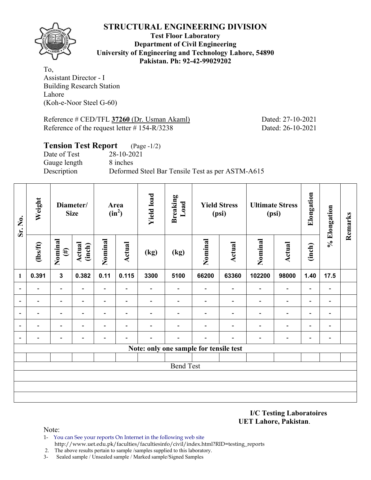**Test Floor Laboratory Department of Civil Engineering University of Engineering and Technology Lahore, 54890 Pakistan. Ph: 92-42-99029202** 

To, Assistant Director - I Building Research Station Lahore (Koh-e-Noor Steel G-60)

Reference # CED/TFL **37260** (Dr. Usman Akaml) Dated: 27-10-2021 Reference of the request letter # 154-R/3238 Dated: 26-10-2021

| <b>Tension Test Report</b> (Page -1/2) |                                                  |
|----------------------------------------|--------------------------------------------------|
| Date of Test                           | 28-10-2021                                       |
| Gauge length                           | 8 inches                                         |
| Description                            | Deformed Steel Bar Tensile Test as per ASTM-A615 |
|                                        |                                                  |

| Sr. No.                  | Weight                   |                          | Diameter/<br><b>Size</b> |                          | Area<br>$(in^2)$         | <b>Yield load</b> | <b>Breaking</b><br>Load                |                          | <b>Yield Stress</b><br>(psi) |                              | <b>Ultimate Stress</b><br>(psi) | Elongation               | % Elongation             | Remarks |
|--------------------------|--------------------------|--------------------------|--------------------------|--------------------------|--------------------------|-------------------|----------------------------------------|--------------------------|------------------------------|------------------------------|---------------------------------|--------------------------|--------------------------|---------|
|                          | $\frac{2}{10}$           | Nominal<br>$(\#)$        | <b>Actual</b><br>(inch)  | Nominal                  | <b>Actual</b>            | (kg)              | (kg)                                   | Nominal                  | <b>Actual</b>                | Nominal                      | Actual                          | (inch)                   |                          |         |
| $\mathbf{1}$             | 0.391                    | $\mathbf{3}$             | 0.382                    | 0.11                     | 0.115                    | 3300              | 5100                                   | 66200                    | 63360                        | 102200                       | 98000                           | 1.40                     | 17.5                     |         |
| $\overline{\phantom{0}}$ | $\overline{\phantom{0}}$ | $\overline{\phantom{0}}$ |                          | $\overline{\phantom{0}}$ | $\overline{\phantom{0}}$ |                   |                                        | $\blacksquare$           | $\overline{\phantom{0}}$     | $\qquad \qquad \blacksquare$ | $\qquad \qquad \blacksquare$    | $\overline{\phantom{a}}$ | $\overline{\phantom{a}}$ |         |
|                          | $\overline{\phantom{0}}$ | -                        | ۰                        | Ξ.                       | $\overline{\phantom{a}}$ | $\blacksquare$    | $\blacksquare$                         | $\overline{\phantom{0}}$ | $\overline{\phantom{0}}$     | $\qquad \qquad \blacksquare$ | $\overline{\phantom{a}}$        | $\overline{\phantom{a}}$ | $\overline{\phantom{a}}$ |         |
|                          | $\overline{\phantom{0}}$ | $\overline{\phantom{0}}$ | ۰                        | $\overline{\phantom{0}}$ | $\overline{\phantom{a}}$ |                   |                                        | $\overline{\phantom{0}}$ | $\overline{a}$               | -                            | $\overline{a}$                  | $\overline{\phantom{a}}$ | $\overline{\phantom{a}}$ |         |
|                          | -                        | $\overline{\phantom{0}}$ |                          | $\overline{\phantom{0}}$ | $\blacksquare$           |                   |                                        |                          | $\overline{\phantom{a}}$     | -                            | $\qquad \qquad \blacksquare$    | $\overline{\phantom{a}}$ | $\blacksquare$           |         |
| $\blacksquare$           | $\overline{\phantom{0}}$ | $\overline{\phantom{0}}$ |                          |                          | $\blacksquare$           |                   |                                        | $\overline{\phantom{0}}$ | $\blacksquare$               | $\overline{\phantom{0}}$     | $\overline{\phantom{a}}$        | $\overline{\phantom{a}}$ | $\overline{\phantom{a}}$ |         |
|                          |                          |                          |                          |                          |                          |                   | Note: only one sample for tensile test |                          |                              |                              |                                 |                          |                          |         |
|                          |                          |                          |                          |                          |                          |                   |                                        |                          |                              |                              |                                 |                          |                          |         |
|                          |                          |                          |                          |                          |                          |                   | <b>Bend Test</b>                       |                          |                              |                              |                                 |                          |                          |         |
|                          |                          |                          |                          |                          |                          |                   |                                        |                          |                              |                              |                                 |                          |                          |         |
|                          |                          |                          |                          |                          |                          |                   |                                        |                          |                              |                              |                                 |                          |                          |         |
|                          |                          |                          |                          |                          |                          |                   |                                        |                          |                              |                              |                                 |                          |                          |         |

**I/C Testing Laboratoires UET Lahore, Pakistan**.

- 1- You can See your reports On Internet in the following web site http://www.uet.edu.pk/faculties/facultiesinfo/civil/index.html?RID=testing\_reports
- 2. The above results pertain to sample /samples supplied to this laboratory.
- 3- Sealed sample / Unsealed sample / Marked sample/Signed Samples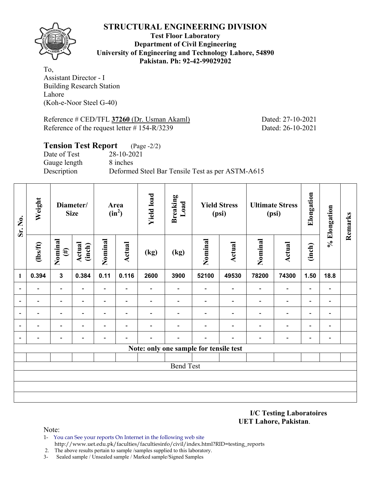**Test Floor Laboratory Department of Civil Engineering University of Engineering and Technology Lahore, 54890 Pakistan. Ph: 92-42-99029202** 

To, Assistant Director - I Building Research Station Lahore (Koh-e-Noor Steel G-40)

Reference # CED/TFL **37260** (Dr. Usman Akaml) Dated: 27-10-2021 Reference of the request letter # 154-R/3239 Dated: 26-10-2021

| <b>Tension Test Report</b> (Page -2/2) |                                                  |
|----------------------------------------|--------------------------------------------------|
| Date of Test                           | 28-10-2021                                       |
| Gauge length                           | 8 inches                                         |
| Description                            | Deformed Steel Bar Tensile Test as per ASTM-A615 |
|                                        |                                                  |

| Sr. No.                  | Weight                   |                          | Diameter/<br><b>Size</b> |                          | Area<br>$(in^2)$         | <b>Yield load</b> | <b>Breaking</b><br>Load                |                          | <b>Yield Stress</b><br>(psi) |                              | <b>Ultimate Stress</b><br>(psi) | Elongation               | % Elongation             | Remarks |
|--------------------------|--------------------------|--------------------------|--------------------------|--------------------------|--------------------------|-------------------|----------------------------------------|--------------------------|------------------------------|------------------------------|---------------------------------|--------------------------|--------------------------|---------|
|                          | $\frac{2}{10}$           | Nominal<br>$(\#)$        | Actual<br>(inch)         | Nominal                  | <b>Actual</b>            | (kg)              | (kg)                                   | Nominal                  | <b>Actual</b>                | Nominal                      | <b>Actual</b>                   | (inch)                   |                          |         |
| 1                        | 0.394                    | $\mathbf{3}$             | 0.384                    | 0.11                     | 0.116                    | 2600              | 3900                                   | 52100                    | 49530                        | 78200                        | 74300                           | 1.50                     | 18.8                     |         |
| $\overline{\phantom{a}}$ |                          | $\overline{a}$           | $\overline{\phantom{0}}$ | $\overline{\phantom{0}}$ |                          |                   | $\qquad \qquad \blacksquare$           | $\overline{\phantom{a}}$ | $\overline{\phantom{a}}$     | $\qquad \qquad \blacksquare$ | $\overline{\phantom{a}}$        | $\overline{\phantom{a}}$ | $\overline{\phantom{a}}$ |         |
| $\blacksquare$           | $\overline{\phantom{0}}$ | $\overline{\phantom{0}}$ |                          | $\overline{\phantom{0}}$ | $\overline{\phantom{0}}$ | -                 |                                        | $\overline{\phantom{0}}$ | $\overline{\phantom{0}}$     | $\overline{\phantom{0}}$     | $\overline{\phantom{a}}$        | $\overline{\phantom{a}}$ | $\overline{\phantom{a}}$ |         |
| $\overline{\phantom{a}}$ | $\blacksquare$           | $\overline{\phantom{a}}$ | $\overline{\phantom{0}}$ | $\overline{\phantom{0}}$ | $\overline{\phantom{0}}$ |                   |                                        |                          | $\overline{\phantom{0}}$     | $\overline{\phantom{0}}$     | $\overline{\phantom{a}}$        | $\overline{\phantom{a}}$ | $\overline{\phantom{a}}$ |         |
|                          |                          | $\overline{\phantom{0}}$ |                          | -                        | $\overline{\phantom{0}}$ |                   |                                        |                          |                              | $\overline{\phantom{0}}$     | $\overline{\phantom{0}}$        | $\blacksquare$           | $\overline{\phantom{0}}$ |         |
| $\blacksquare$           |                          | $\overline{\phantom{0}}$ |                          | -                        | $\overline{\phantom{0}}$ |                   |                                        | $\overline{\phantom{0}}$ | $\blacksquare$               | $\overline{\phantom{0}}$     | $\overline{\phantom{0}}$        | -                        | $\overline{\phantom{a}}$ |         |
|                          |                          |                          |                          |                          |                          |                   | Note: only one sample for tensile test |                          |                              |                              |                                 |                          |                          |         |
|                          |                          |                          |                          |                          |                          |                   |                                        |                          |                              |                              |                                 |                          |                          |         |
|                          |                          |                          |                          |                          |                          |                   | <b>Bend Test</b>                       |                          |                              |                              |                                 |                          |                          |         |
|                          |                          |                          |                          |                          |                          |                   |                                        |                          |                              |                              |                                 |                          |                          |         |
|                          |                          |                          |                          |                          |                          |                   |                                        |                          |                              |                              |                                 |                          |                          |         |
|                          |                          |                          |                          |                          |                          |                   |                                        |                          |                              |                              |                                 |                          |                          |         |

**I/C Testing Laboratoires UET Lahore, Pakistan**.

- 1- You can See your reports On Internet in the following web site http://www.uet.edu.pk/faculties/facultiesinfo/civil/index.html?RID=testing\_reports
- 2. The above results pertain to sample /samples supplied to this laboratory.
- 3- Sealed sample / Unsealed sample / Marked sample/Signed Samples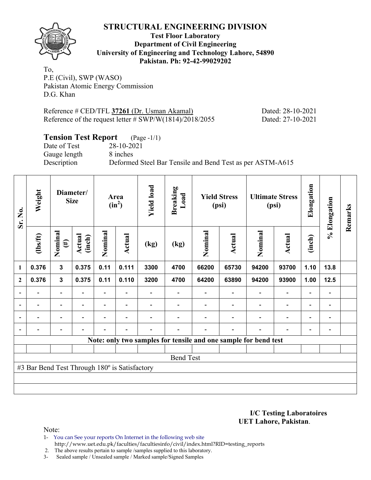

**Test Floor Laboratory Department of Civil Engineering University of Engineering and Technology Lahore, 54890 Pakistan. Ph: 92-42-99029202** 

To, P.E (Civil), SWP (WASO) Pakistan Atomic Energy Commission D.G. Khan

Reference # CED/TFL **37261** (Dr. Usman Akamal) Dated: 28-10-2021 Reference of the request letter # SWP/W(1814)/2018/2055 Dated: 27-10-2021

# **Tension Test Report** (Page -1/1)

Date of Test 28-10-2021 Gauge length 8 inches

Description Deformed Steel Bar Tensile and Bend Test as per ASTM-A615

| Sr. No.                  | Weight                                        |                          | Diameter/<br><b>Size</b> |                          | Area<br>$(in^2)$         | <b>Yield load</b>        | <b>Breaking</b><br>Load |         | <b>Yield Stress</b><br>(psi)                                    |                          | <b>Ultimate Stress</b><br>(psi) | Elongation               | % Elongation                 | Remarks |
|--------------------------|-----------------------------------------------|--------------------------|--------------------------|--------------------------|--------------------------|--------------------------|-------------------------|---------|-----------------------------------------------------------------|--------------------------|---------------------------------|--------------------------|------------------------------|---------|
|                          | $\frac{2}{10}$                                | Nominal<br>$(\#)$        | Actual<br>(inch)         | Nominal                  | Actual                   | (kg)                     | (kg)                    | Nominal | Actual                                                          | Nominal                  | Actual                          | (inch)                   |                              |         |
| 1                        | 0.376                                         | $\mathbf{3}$             | 0.375                    | 0.11                     | 0.111                    | 3300                     | 4700                    | 66200   | 65730                                                           | 94200                    | 93700                           | 1.10                     | 13.8                         |         |
| $\mathbf{2}$             | 0.376                                         | $\mathbf{3}$             | 0.375                    | 0.11                     | 0.110                    | 3200                     | 4700                    | 64200   | 63890                                                           | 94200                    | 93900                           | 1.00                     | $12.5$                       |         |
|                          |                                               |                          |                          |                          |                          |                          |                         |         |                                                                 |                          | $\overline{\phantom{0}}$        | $\overline{\phantom{0}}$ |                              |         |
| $\overline{\phantom{a}}$ | $\overline{\phantom{0}}$                      | $\overline{\phantom{a}}$ | $\overline{\phantom{0}}$ | $\overline{\phantom{0}}$ | $\blacksquare$           |                          |                         |         | $\blacksquare$                                                  | $\blacksquare$           | $\overline{a}$                  | $\overline{\phantom{a}}$ | $\overline{\phantom{a}}$     |         |
|                          | $\overline{\phantom{0}}$                      | $\overline{\phantom{0}}$ |                          | $\blacksquare$           | $\overline{\phantom{a}}$ |                          |                         |         | $\overline{\phantom{0}}$                                        | $\overline{\phantom{0}}$ | $\overline{a}$                  | $\overline{\phantom{0}}$ | $\qquad \qquad \blacksquare$ |         |
|                          | $\overline{\phantom{0}}$                      | $\overline{\phantom{a}}$ |                          | $\blacksquare$           | $\blacksquare$           | $\overline{\phantom{0}}$ |                         |         | $\overline{\phantom{0}}$                                        | $\blacksquare$           | $\overline{a}$                  | $\overline{\phantom{a}}$ | $\overline{\phantom{0}}$     |         |
|                          |                                               |                          |                          |                          |                          |                          |                         |         | Note: only two samples for tensile and one sample for bend test |                          |                                 |                          |                              |         |
|                          |                                               |                          |                          |                          |                          |                          |                         |         |                                                                 |                          |                                 |                          |                              |         |
|                          |                                               |                          |                          |                          |                          |                          | <b>Bend Test</b>        |         |                                                                 |                          |                                 |                          |                              |         |
|                          | #3 Bar Bend Test Through 180° is Satisfactory |                          |                          |                          |                          |                          |                         |         |                                                                 |                          |                                 |                          |                              |         |
|                          |                                               |                          |                          |                          |                          |                          |                         |         |                                                                 |                          |                                 |                          |                              |         |
|                          |                                               |                          |                          |                          |                          |                          |                         |         |                                                                 |                          |                                 |                          |                              |         |

**I/C Testing Laboratoires UET Lahore, Pakistan**.

Note:

1- You can See your reports On Internet in the following web site http://www.uet.edu.pk/faculties/facultiesinfo/civil/index.html?RID=testing\_reports

2. The above results pertain to sample /samples supplied to this laboratory.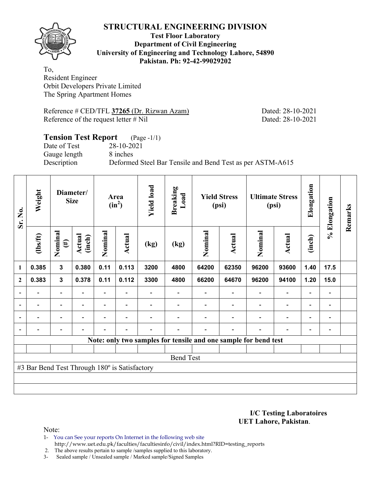

#### **Test Floor Laboratory Department of Civil Engineering University of Engineering and Technology Lahore, 54890 Pakistan. Ph: 92-42-99029202**

To, Resident Engineer Orbit Developers Private Limited The Spring Apartment Homes

Reference # CED/TFL **37265** (Dr. Rizwan Azam) Dated: 28-10-2021 Reference of the request letter # Nil Dated: 28-10-2021

## **Tension Test Report** (Page -1/1) Date of Test 28-10-2021 Gauge length 8 inches Description Deformed Steel Bar Tensile and Bend Test as per ASTM-A615

| Sr. No.        | Weight                                        |                          | Diameter/<br><b>Size</b> |         | Area<br>$(in^2)$         | <b>Yield load</b> | <b>Breaking</b><br>Load |         | <b>Yield Stress</b><br>(psi) |                                                                 | <b>Ultimate Stress</b><br>(psi) | Elongation     | % Elongation   | Remarks |
|----------------|-----------------------------------------------|--------------------------|--------------------------|---------|--------------------------|-------------------|-------------------------|---------|------------------------------|-----------------------------------------------------------------|---------------------------------|----------------|----------------|---------|
|                | $lbsft$                                       | Nominal<br>$(\#)$        | Actual<br>(inch)         | Nominal | Actual                   | (kg)              | (kg)                    | Nominal | Actual                       | Nominal                                                         | Actual                          | (inch)         |                |         |
| 1              | 0.385                                         | $\mathbf{3}$             | 0.380                    | 0.11    | 0.113                    | 3200              | 4800                    | 64200   | 62350                        | 96200                                                           | 93600                           | 1.40           | 17.5           |         |
| $\overline{2}$ | 0.383                                         | $\mathbf{3}$             | 0.378                    | 0.11    | 0.112                    | 3300              | 4800                    | 66200   | 64670                        | 96200                                                           | 94100                           | 1.20           | 15.0           |         |
|                |                                               | $\overline{\phantom{a}}$ |                          | Ξ.      |                          |                   |                         |         |                              | $\qquad \qquad \blacksquare$                                    | $\overline{a}$                  | $\overline{a}$ |                |         |
| $\overline{a}$ |                                               | $\overline{\phantom{0}}$ |                          |         |                          |                   |                         |         |                              |                                                                 | -                               | -              |                |         |
| $\blacksquare$ | $\blacksquare$                                | $\overline{\phantom{a}}$ | $\blacksquare$           |         | $\blacksquare$           |                   |                         |         |                              | ۰                                                               | $\blacksquare$                  | $\blacksquare$ | $\blacksquare$ |         |
|                |                                               | $\overline{a}$           |                          |         | $\overline{\phantom{a}}$ |                   |                         |         |                              | $\blacksquare$                                                  | $\overline{a}$                  | -              |                |         |
|                |                                               |                          |                          |         |                          |                   |                         |         |                              | Note: only two samples for tensile and one sample for bend test |                                 |                |                |         |
|                |                                               |                          |                          |         |                          |                   |                         |         |                              |                                                                 |                                 |                |                |         |
|                |                                               |                          |                          |         |                          |                   | <b>Bend Test</b>        |         |                              |                                                                 |                                 |                |                |         |
|                | #3 Bar Bend Test Through 180° is Satisfactory |                          |                          |         |                          |                   |                         |         |                              |                                                                 |                                 |                |                |         |
|                |                                               |                          |                          |         |                          |                   |                         |         |                              |                                                                 |                                 |                |                |         |
|                |                                               |                          |                          |         |                          |                   |                         |         |                              |                                                                 |                                 |                |                |         |

**I/C Testing Laboratoires UET Lahore, Pakistan**.

Note:

1- You can See your reports On Internet in the following web site http://www.uet.edu.pk/faculties/facultiesinfo/civil/index.html?RID=testing\_reports

2. The above results pertain to sample /samples supplied to this laboratory.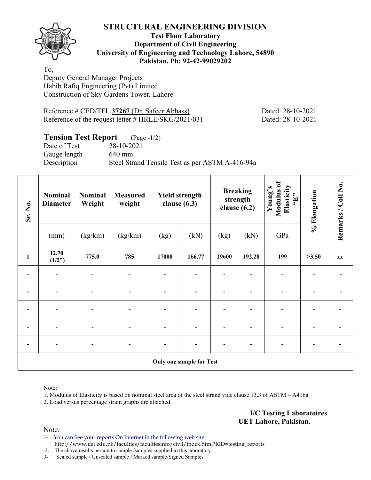

#### **Test Floor Laboratory Department of Civil Engineering University of Engineering and Technology Lahore, 54890 Pakistan. Ph: 92-42-99029202**

To, Deputy General Manager Projects Habib Rafiq Engineering (Pvt) Limited Construction of Sky Gardens Tower, Lahore

Reference # CED/TFL **37267** (Dr. Safeer Abbass) Dated: 28-10-2021 Reference of the request letter # HRLE/SKG/2021/031 Dated: 28-10-2021

## **Tension Test Report** (Page -1/2)

Gauge length 640 mm

Date of Test 28-10-2021 Description Steel Strand Tensile Test as per ASTM A-416-94a

| Sr. No.                         | Nominal<br><b>Diameter</b> | <b>Nominal</b><br>Weight | <b>Measured</b><br>weight | <b>Yield strength</b><br>clause $(6.3)$ |        | <b>Breaking</b><br>strength<br>clause $(6.2)$ |        | Modulus of<br>Elasticity<br>Young's<br>$\mathbf{H}$ , | % Elongation | Remarks / Coil No. |  |  |
|---------------------------------|----------------------------|--------------------------|---------------------------|-----------------------------------------|--------|-----------------------------------------------|--------|-------------------------------------------------------|--------------|--------------------|--|--|
|                                 | (mm)                       | (kg/km)                  | (kg/km)                   | (kg)                                    | (kN)   | (kg)                                          | (kN)   | GPa                                                   |              |                    |  |  |
| $\mathbf{1}$                    | 12.70<br>(1/2")            | 775.0                    | 785                       | 17000                                   | 166.77 | 19600                                         | 192.28 | 199                                                   | >3.50        | <b>XX</b>          |  |  |
|                                 |                            |                          |                           |                                         |        |                                               |        |                                                       |              |                    |  |  |
|                                 | $\overline{\phantom{0}}$   | $\overline{a}$           |                           | $\overline{\phantom{0}}$                |        |                                               |        |                                                       |              |                    |  |  |
| $\overline{a}$                  | $\blacksquare$             |                          |                           |                                         |        |                                               |        |                                                       |              |                    |  |  |
|                                 |                            |                          |                           |                                         |        |                                               |        |                                                       |              |                    |  |  |
|                                 | $\overline{\phantom{0}}$   | $\overline{a}$           |                           |                                         |        |                                               |        |                                                       |              |                    |  |  |
| <b>Only one sample for Test</b> |                            |                          |                           |                                         |        |                                               |        |                                                       |              |                    |  |  |

Note:

1. Modulus of Elasticity is based on nominal steel area of the steel strand vide clause 13.3 of ASTM – A416a

2. Load versus percentage strain graphs are attached

**I/C Testing Laboratoires UET Lahore, Pakistan**.

Note:

1- You can See your reports On Internet in the following web site http://www.uet.edu.pk/faculties/facultiesinfo/civil/index.html?RID=testing\_reports

2. The above results pertain to sample /samples supplied to this laboratory.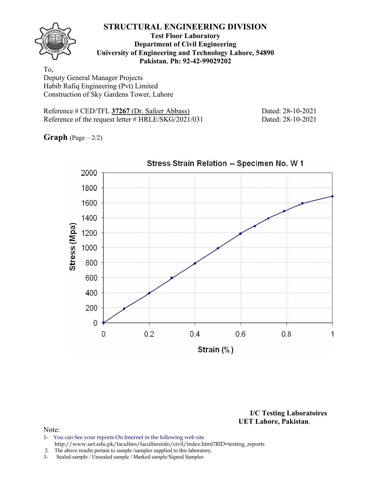

#### **Test Floor Laboratory Department of Civil Engineering University of Engineering and Technology Lahore, 54890 Pakistan. Ph: 92-42-99029202**

To, Deputy General Manager Projects Habib Rafiq Engineering (Pvt) Limited Construction of Sky Gardens Tower, Lahore

Reference # CED/TFL **37267** (Dr. Safeer Abbass) Dated: 28-10-2021 Reference of the request letter # HRLE/SKG/2021/031 Dated: 28-10-2021

**Graph**  $(Page - 2/2)$ 



**I/C Testing Laboratoires UET Lahore, Pakistan**.

- 1- You can See your reports On Internet in the following web site http://www.uet.edu.pk/faculties/facultiesinfo/civil/index.html?RID=testing\_reports
- 2. The above results pertain to sample /samples supplied to this laboratory.
- 3- Sealed sample / Unsealed sample / Marked sample/Signed Samples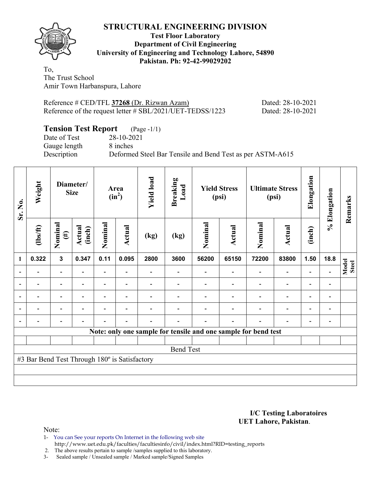

#### **Test Floor Laboratory Department of Civil Engineering University of Engineering and Technology Lahore, 54890 Pakistan. Ph: 92-42-99029202**

To, The Trust School Amir Town Harbanspura, Lahore

| Reference # CED/TFL 37268 (Dr. Rizwan Azam)               | Dated: 28-10-2021 |
|-----------------------------------------------------------|-------------------|
| Reference of the request letter # SBL/2021/UET-TEDSS/1223 | Dated: 28-10-2021 |

## **Tension Test Report** (Page -1/1)

Date of Test 28-10-2021 Gauge length 8 inches

Description Deformed Steel Bar Tensile and Bend Test as per ASTM-A615

| Sr. No.                                                        | Weight   | Diameter/<br><b>Size</b> |                  | Area<br>$(in^2)$         |                          | <b>Yield load</b> | <b>Breaking</b><br>Load | <b>Yield Stress</b><br>(psi) |        | <b>Ultimate Stress</b><br>(psi) |                          | Elongation               | % Elongation             | Remarks               |
|----------------------------------------------------------------|----------|--------------------------|------------------|--------------------------|--------------------------|-------------------|-------------------------|------------------------------|--------|---------------------------------|--------------------------|--------------------------|--------------------------|-----------------------|
|                                                                | (1bs/ft) | Nominal<br>$(\#)$        | Actual<br>(inch) | Nominal                  | Actual                   | (kg)              | (kg)                    | Nominal                      | Actual | Nominal                         | Actual                   | (inch)                   |                          |                       |
| 1                                                              | 0.322    | $\overline{\mathbf{3}}$  | 0.347            | 0.11                     | 0.095                    | 2800              | 3600                    | 56200                        | 65150  | 72200                           | 83800                    | 1.50                     | 18.8                     |                       |
| $\blacksquare$                                                 |          | $\blacksquare$           |                  | Ξ.                       |                          |                   |                         |                              |        |                                 | $\overline{\phantom{0}}$ |                          | $\overline{\phantom{a}}$ | Model<br><b>Steel</b> |
|                                                                |          | $\overline{\phantom{0}}$ |                  | $\overline{\phantom{0}}$ | $\overline{\phantom{a}}$ |                   |                         |                              |        |                                 | $\overline{\phantom{0}}$ |                          | $\overline{\phantom{a}}$ |                       |
|                                                                |          |                          |                  |                          |                          |                   |                         |                              |        |                                 |                          |                          |                          |                       |
| $\overline{a}$                                                 |          | $\overline{\phantom{0}}$ |                  |                          |                          |                   |                         |                              |        |                                 |                          |                          | $\overline{\phantom{a}}$ |                       |
| $\blacksquare$                                                 |          |                          |                  |                          |                          |                   |                         |                              |        |                                 |                          | $\overline{\phantom{0}}$ | $\blacksquare$           |                       |
| Note: only one sample for tensile and one sample for bend test |          |                          |                  |                          |                          |                   |                         |                              |        |                                 |                          |                          |                          |                       |
|                                                                |          |                          |                  |                          |                          |                   |                         |                              |        |                                 |                          |                          |                          |                       |
| <b>Bend Test</b>                                               |          |                          |                  |                          |                          |                   |                         |                              |        |                                 |                          |                          |                          |                       |
| #3 Bar Bend Test Through 180° is Satisfactory                  |          |                          |                  |                          |                          |                   |                         |                              |        |                                 |                          |                          |                          |                       |
|                                                                |          |                          |                  |                          |                          |                   |                         |                              |        |                                 |                          |                          |                          |                       |
|                                                                |          |                          |                  |                          |                          |                   |                         |                              |        |                                 |                          |                          |                          |                       |

#### **I/C Testing Laboratoires UET Lahore, Pakistan**.

Note:

1- You can See your reports On Internet in the following web site http://www.uet.edu.pk/faculties/facultiesinfo/civil/index.html?RID=testing\_reports

2. The above results pertain to sample / samples supplied to this laboratory.<br>3- Sealed sample / Unsealed sample / Marked sample/Signed Samples